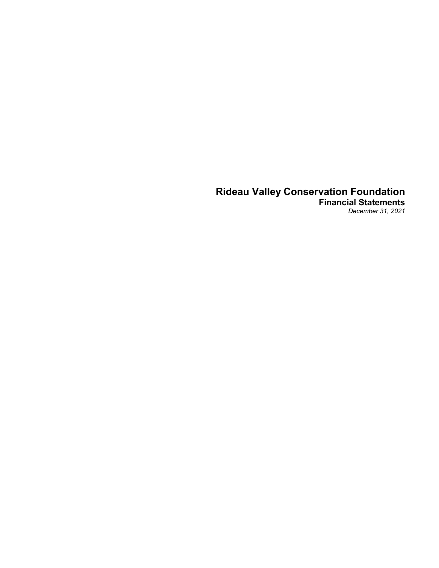# **Rideau Valley Conservation Foundation Financial Statements**

*December 31, 2021*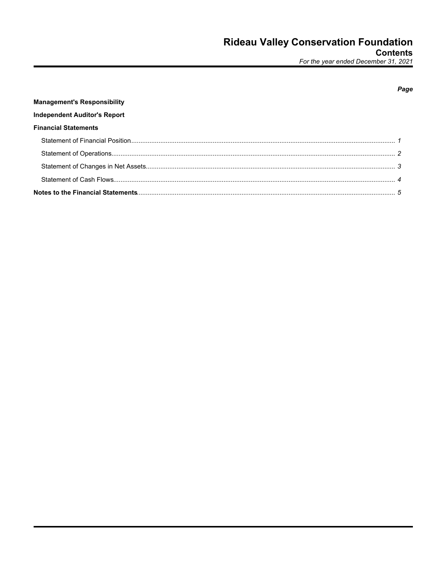| <b>Management's Responsibility</b>  |  |
|-------------------------------------|--|
| <b>Independent Auditor's Report</b> |  |
| <b>Financial Statements</b>         |  |
|                                     |  |
|                                     |  |
|                                     |  |
|                                     |  |
|                                     |  |

# Page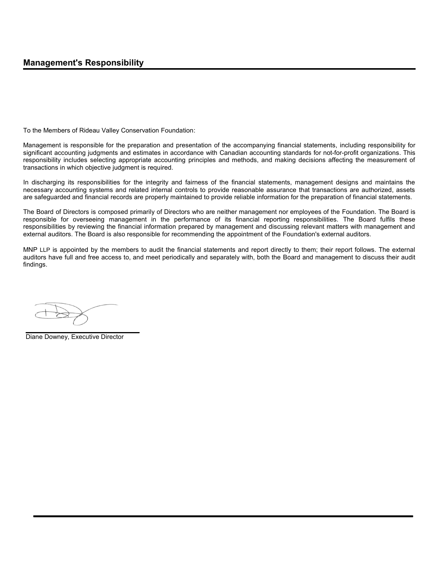To the Members of Rideau Valley Conservation Foundation:

Management is responsible for the preparation and presentation of the accompanying financial statements, including responsibility for significant accounting judgments and estimates in accordance with Canadian accounting standards for not-for-profit organizations. This responsibility includes selecting appropriate accounting principles and methods, and making decisions affecting the measurement of transactions in which objective judgment is required.

In discharging its responsibilities for the integrity and fairness of the financial statements, management designs and maintains the necessary accounting systems and related internal controls to provide reasonable assurance that transactions are authorized, assets are safeguarded and financial records are properly maintained to provide reliable information for the preparation of financial statements.

The Board of Directors is composed primarily of Directors who are neither management nor employees of the Foundation. The Board is responsible for overseeing management in the performance of its financial reporting responsibilities. The Board fulfils these responsibilities by reviewing the financial information prepared by management and discussing relevant matters with management and external auditors. The Board is also responsible for recommending the appointment of the Foundation's external auditors.

MNP LLP is appointed by the members to audit the financial statements and report directly to them; their report follows. The external auditors have full and free access to, and meet periodically and separately with, both the Board and management to discuss their audit findings.

 ${{\mathbb C}}$   ${\mathbb Z}$ 

Diane Downey, Executive Director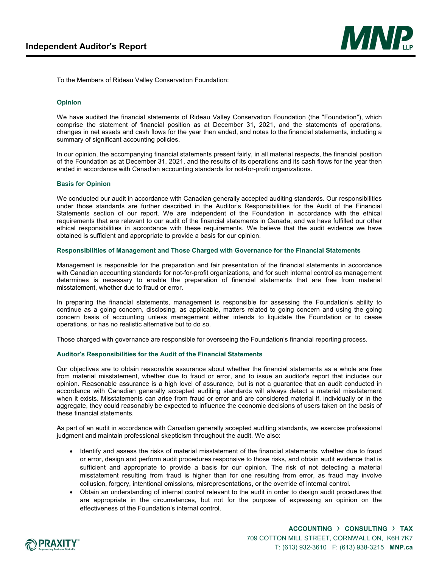

To the Members of Rideau Valley Conservation Foundation:

## **Opinion**

We have audited the financial statements of Rideau Valley Conservation Foundation (the "Foundation"), which comprise the statement of financial position as at December 31, 2021, and the statements of operations, changes in net assets and cash flows for the year then ended, and notes to the financial statements, including a summary of significant accounting policies.

In our opinion, the accompanying financial statements present fairly, in all material respects, the financial position of the Foundation as at December 31, 2021, and the results of its operations and its cash flows for the year then ended in accordance with Canadian accounting standards for not-for-profit organizations.

#### **Basis for Opinion**

We conducted our audit in accordance with Canadian generally accepted auditing standards. Our responsibilities under those standards are further described in the Auditor's Responsibilities for the Audit of the Financial Statements section of our report. We are independent of the Foundation in accordance with the ethical requirements that are relevant to our audit of the financial statements in Canada, and we have fulfilled our other ethical responsibilities in accordance with these requirements. We believe that the audit evidence we have obtained is sufficient and appropriate to provide a basis for our opinion.

#### **Responsibilities of Management and Those Charged with Governance for the Financial Statements**

Management is responsible for the preparation and fair presentation of the financial statements in accordance with Canadian accounting standards for not-for-profit organizations, and for such internal control as management determines is necessary to enable the preparation of financial statements that are free from material misstatement, whether due to fraud or error.

In preparing the financial statements, management is responsible for assessing the Foundation's ability to continue as a going concern, disclosing, as applicable, matters related to going concern and using the going concern basis of accounting unless management either intends to liquidate the Foundation or to cease operations, or has no realistic alternative but to do so.

Those charged with governance are responsible for overseeing the Foundation's financial reporting process.

## **Auditor's Responsibilities for the Audit of the Financial Statements**

Our objectives are to obtain reasonable assurance about whether the financial statements as a whole are free from material misstatement, whether due to fraud or error, and to issue an auditor's report that includes our opinion. Reasonable assurance is a high level of assurance, but is not a guarantee that an audit conducted in accordance with Canadian generally accepted auditing standards will always detect a material misstatement when it exists. Misstatements can arise from fraud or error and are considered material if, individually or in the aggregate, they could reasonably be expected to influence the economic decisions of users taken on the basis of these financial statements.

As part of an audit in accordance with Canadian generally accepted auditing standards, we exercise professional judgment and maintain professional skepticism throughout the audit. We also:

- Identify and assess the risks of material misstatement of the financial statements, whether due to fraud or error, design and perform audit procedures responsive to those risks, and obtain audit evidence that is sufficient and appropriate to provide a basis for our opinion. The risk of not detecting a material misstatement resulting from fraud is higher than for one resulting from error, as fraud may involve collusion, forgery, intentional omissions, misrepresentations, or the override of internal control.
- Obtain an understanding of internal control relevant to the audit in order to design audit procedures that are appropriate in the circumstances, but not for the purpose of expressing an opinion on the effectiveness of the Foundation's internal control.

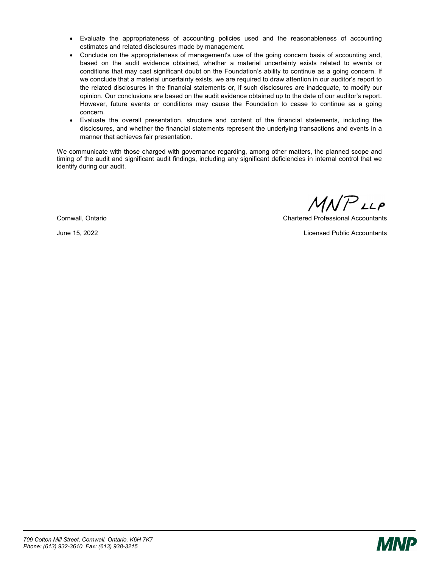- Evaluate the appropriateness of accounting policies used and the reasonableness of accounting estimates and related disclosures made by management.
- Conclude on the appropriateness of management's use of the going concern basis of accounting and, based on the audit evidence obtained, whether a material uncertainty exists related to events or conditions that may cast significant doubt on the Foundation's ability to continue as a going concern. If we conclude that a material uncertainty exists, we are required to draw attention in our auditor's report to the related disclosures in the financial statements or, if such disclosures are inadequate, to modify our opinion. Our conclusions are based on the audit evidence obtained up to the date of our auditor's report. However, future events or conditions may cause the Foundation to cease to continue as a going concern.
- Evaluate the overall presentation, structure and content of the financial statements, including the disclosures, and whether the financial statements represent the underlying transactions and events in a manner that achieves fair presentation.

We communicate with those charged with governance regarding, among other matters, the planned scope and timing of the audit and significant audit findings, including any significant deficiencies in internal control that we identify during our audit.

MNPLLP

Cornwall, Ontario Chartered Professional Accountants

June 15, 2022 Licensed Public Accountants

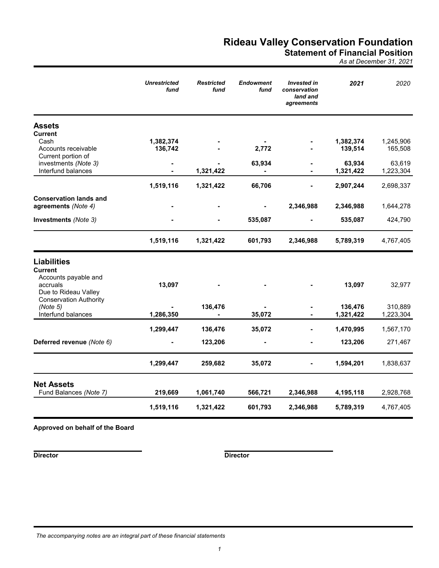# **Statement of Financial Position**

*As at December 31, 2021*

|                                                                 | <b>Unrestricted</b><br>fund | <b>Restricted</b><br>fund | <b>Endowment</b><br>fund | <b>Invested in</b><br>conservation<br>land and<br>agreements | 2021                 | 2020                 |
|-----------------------------------------------------------------|-----------------------------|---------------------------|--------------------------|--------------------------------------------------------------|----------------------|----------------------|
| <b>Assets</b>                                                   |                             |                           |                          |                                                              |                      |                      |
| <b>Current</b><br>Cash                                          | 1,382,374                   |                           |                          |                                                              | 1,382,374            | 1,245,906            |
| Accounts receivable<br>Current portion of                       | 136,742                     |                           | 2,772                    |                                                              | 139,514              | 165,508              |
| investments (Note 3)<br>Interfund balances                      |                             | 1,321,422                 | 63,934                   |                                                              | 63,934<br>1,321,422  | 63,619<br>1,223,304  |
|                                                                 | 1,519,116                   | 1,321,422                 | 66,706                   |                                                              | 2,907,244            | 2,698,337            |
| <b>Conservation lands and</b><br>agreements (Note 4)            |                             |                           |                          | 2,346,988                                                    | 2,346,988            | 1,644,278            |
| Investments (Note 3)                                            |                             |                           | 535,087                  |                                                              | 535,087              | 424,790              |
|                                                                 | 1,519,116                   | 1,321,422                 | 601,793                  | 2,346,988                                                    | 5,789,319            | 4,767,405            |
| <b>Liabilities</b><br><b>Current</b>                            |                             |                           |                          |                                                              |                      |                      |
| Accounts payable and<br>accruals<br>Due to Rideau Valley        | 13,097                      |                           |                          |                                                              | 13,097               | 32,977               |
| <b>Conservation Authority</b><br>(Note 5)<br>Interfund balances | 1,286,350                   | 136,476                   | 35,072                   |                                                              | 136,476<br>1,321,422 | 310,889<br>1,223,304 |
|                                                                 | 1,299,447                   | 136,476                   | 35,072                   |                                                              | 1,470,995            | 1,567,170            |
| Deferred revenue (Note 6)                                       |                             | 123,206                   |                          |                                                              | 123,206              | 271,467              |
|                                                                 | 1,299,447                   | 259,682                   | 35,072                   |                                                              | 1,594,201            | 1,838,637            |
| <b>Net Assets</b><br>Fund Balances (Note 7)                     | 219,669                     | 1,061,740                 | 566,721                  | 2,346,988                                                    | 4,195,118            | 2,928,768            |
|                                                                 | 1,519,116                   | 1,321,422                 | 601,793                  | 2,346,988                                                    | 5,789,319            | 4,767,405            |

# **Approved on behalf of the Board**

**Director Director**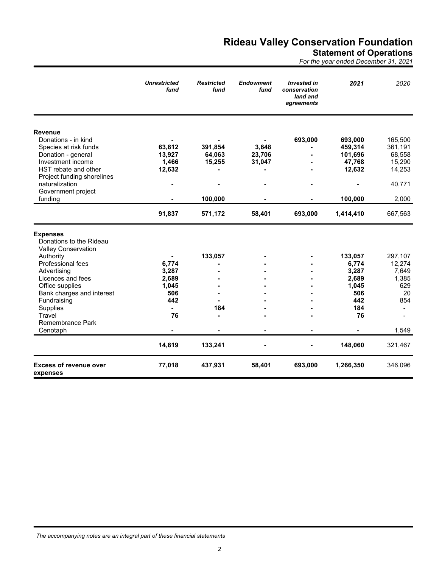# **Statement of Operations**

*For the year ended December 31, 2021*

|                                                                                                                                                                                                                              | <b>Unrestricted</b><br>fund                                                      | <b>Restricted</b><br>fund | <b>Endowment</b><br>fund | <b>Invested in</b><br>conservation<br>land and<br>agreements | 2021                                                                   | 2020                                                    |
|------------------------------------------------------------------------------------------------------------------------------------------------------------------------------------------------------------------------------|----------------------------------------------------------------------------------|---------------------------|--------------------------|--------------------------------------------------------------|------------------------------------------------------------------------|---------------------------------------------------------|
| <b>Revenue</b>                                                                                                                                                                                                               |                                                                                  |                           |                          |                                                              |                                                                        |                                                         |
| Donations - in kind                                                                                                                                                                                                          |                                                                                  |                           |                          | 693,000                                                      | 693,000                                                                | 165,500                                                 |
| Species at risk funds                                                                                                                                                                                                        | 63,812                                                                           | 391,854                   | 3,648                    |                                                              | 459,314                                                                | 361,191                                                 |
| Donation - general                                                                                                                                                                                                           | 13,927                                                                           | 64,063                    | 23,706                   |                                                              | 101,696                                                                | 68,558                                                  |
| Investment income                                                                                                                                                                                                            | 1,466                                                                            | 15,255                    | 31,047                   |                                                              | 47,768                                                                 | 15,290                                                  |
| HST rebate and other                                                                                                                                                                                                         | 12,632                                                                           |                           |                          |                                                              | 12,632                                                                 | 14,253                                                  |
| Project funding shorelines                                                                                                                                                                                                   |                                                                                  |                           |                          |                                                              |                                                                        |                                                         |
| naturalization                                                                                                                                                                                                               |                                                                                  |                           |                          |                                                              |                                                                        | 40,771                                                  |
| Government project                                                                                                                                                                                                           |                                                                                  |                           |                          |                                                              |                                                                        |                                                         |
| funding                                                                                                                                                                                                                      |                                                                                  | 100,000                   |                          |                                                              | 100,000                                                                | 2,000                                                   |
|                                                                                                                                                                                                                              | 91,837                                                                           | 571,172                   | 58,401                   | 693,000                                                      | 1,414,410                                                              | 667,563                                                 |
| <b>Expenses</b><br>Donations to the Rideau<br>Valley Conservation<br>Authority<br>Professional fees<br>Advertising<br>Licences and fees<br>Office supplies<br>Bank charges and interest<br>Fundraising<br>Supplies<br>Travel | 6,774<br>3,287<br>2,689<br>1,045<br>506<br>442<br>$\overline{\phantom{a}}$<br>76 | 133,057<br>184            |                          |                                                              | 133,057<br>6,774<br>3,287<br>2,689<br>1,045<br>506<br>442<br>184<br>76 | 297,107<br>12,274<br>7,649<br>1,385<br>629<br>20<br>854 |
| Remembrance Park                                                                                                                                                                                                             |                                                                                  |                           |                          |                                                              |                                                                        |                                                         |
| Cenotaph                                                                                                                                                                                                                     |                                                                                  |                           |                          |                                                              |                                                                        | 1,549                                                   |
|                                                                                                                                                                                                                              | 14,819                                                                           | 133,241                   |                          |                                                              | 148,060                                                                | 321,467                                                 |
| <b>Excess of revenue over</b><br>expenses                                                                                                                                                                                    | 77,018                                                                           | 437,931                   | 58,401                   | 693,000                                                      | 1,266,350                                                              | 346,096                                                 |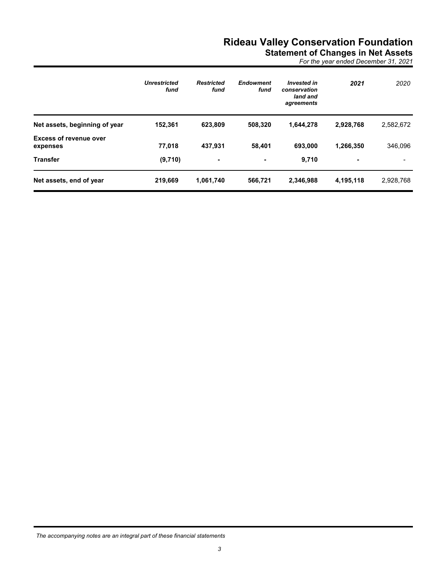**Statement of Changes in Net Assets** *For the year ended December 31, 2021*

|                                           | <b>Unrestricted</b><br>fund | <b>Restricted</b><br>fund | <b>Endowment</b><br>fund | <b>Invested in</b><br>conservation<br>land and<br>agreements | 2021      | 2020                     |
|-------------------------------------------|-----------------------------|---------------------------|--------------------------|--------------------------------------------------------------|-----------|--------------------------|
| Net assets, beginning of year             | 152,361                     | 623,809                   | 508,320                  | 1,644,278                                                    | 2,928,768 | 2,582,672                |
| <b>Excess of revenue over</b><br>expenses | 77,018                      | 437,931                   | 58.401                   | 693,000                                                      | 1,266,350 | 346,096                  |
| Transfer                                  | (9,710)                     | ٠                         | ۰                        | 9,710                                                        | ٠         | $\overline{\phantom{a}}$ |
| Net assets, end of year                   | 219,669                     | 1,061,740                 | 566,721                  | 2,346,988                                                    | 4,195,118 | 2,928,768                |

*The accompanying notes are an integral part of these financial statements*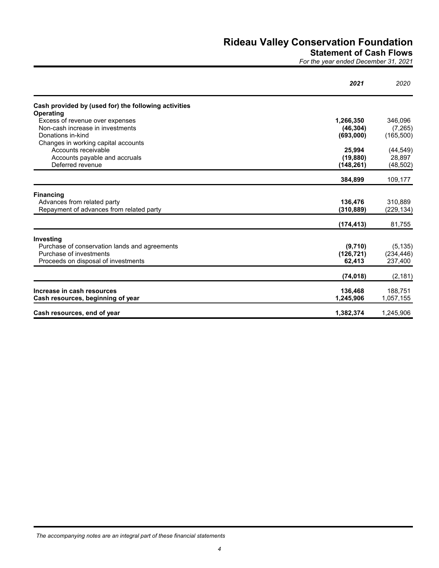**Statement of Cash Flows**

*For the year ended December 31, 2021*

|                                                                                                                              | 2021                                | 2020                              |
|------------------------------------------------------------------------------------------------------------------------------|-------------------------------------|-----------------------------------|
| Cash provided by (used for) the following activities                                                                         |                                     |                                   |
| <b>Operating</b><br>Excess of revenue over expenses<br>Non-cash increase in investments<br>Donations in-kind                 | 1,266,350<br>(46, 304)<br>(693,000) | 346,096<br>(7, 265)<br>(165, 500) |
| Changes in working capital accounts<br>Accounts receivable<br>Accounts payable and accruals<br>Deferred revenue              | 25,994<br>(19, 880)<br>(148, 261)   | (44, 549)<br>28,897<br>(48, 502)  |
|                                                                                                                              | 384,899                             | 109,177                           |
| <b>Financing</b><br>Advances from related party<br>Repayment of advances from related party                                  | 136,476<br>(310, 889)               | 310,889<br>(229, 134)             |
|                                                                                                                              | (174, 413)                          | 81,755                            |
| Investing<br>Purchase of conservation lands and agreements<br>Purchase of investments<br>Proceeds on disposal of investments | (9,710)<br>(126, 721)<br>62,413     | (5, 135)<br>(234, 446)<br>237,400 |
|                                                                                                                              | (74, 018)                           | (2, 181)                          |
| Increase in cash resources<br>Cash resources, beginning of year                                                              | 136,468<br>1,245,906                | 188,751<br>1,057,155              |
| Cash resources, end of year                                                                                                  | 1,382,374                           | 1,245,906                         |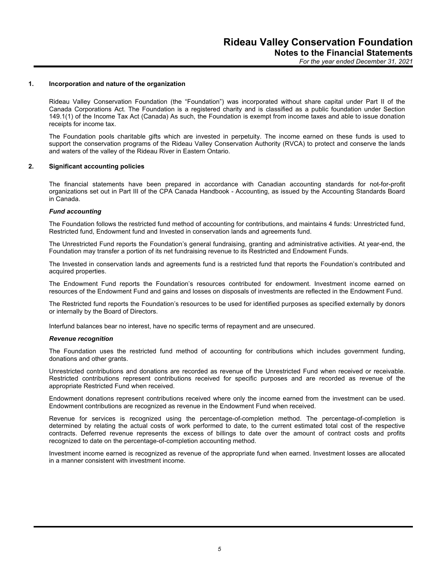## **1. Incorporation and nature of the organization**

Rideau Valley Conservation Foundation (the "Foundation") was incorporated without share capital under Part II of the Canada Corporations Act. The Foundation is a registered charity and is classified as a public foundation under Section 149.1(1) of the Income Tax Act (Canada) As such, the Foundation is exempt from income taxes and able to issue donation receipts for income tax.

The Foundation pools charitable gifts which are invested in perpetuity. The income earned on these funds is used to support the conservation programs of the Rideau Valley Conservation Authority (RVCA) to protect and conserve the lands and waters of the valley of the Rideau River in Eastern Ontario.

# **2. Significant accounting policies**

The financial statements have been prepared in accordance with Canadian accounting standards for not-for-profit organizations set out in Part III of the CPA Canada Handbook - Accounting, as issued by the Accounting Standards Board in Canada.

#### *Fund accounting*

The Foundation follows the restricted fund method of accounting for contributions, and maintains 4 funds: Unrestricted fund, Restricted fund, Endowment fund and Invested in conservation lands and agreements fund.

The Unrestricted Fund reports the Foundation's general fundraising, granting and administrative activities. At year-end, the Foundation may transfer a portion of its net fundraising revenue to its Restricted and Endowment Funds.

The Invested in conservation lands and agreements fund is a restricted fund that reports the Foundation's contributed and acquired properties.

The Endowment Fund reports the Foundation's resources contributed for endowment. Investment income earned on resources of the Endowment Fund and gains and losses on disposals of investments are reflected in the Endowment Fund.

The Restricted fund reports the Foundation's resources to be used for identified purposes as specified externally by donors or internally by the Board of Directors.

Interfund balances bear no interest, have no specific terms of repayment and are unsecured.

#### *Revenue recognition*

The Foundation uses the restricted fund method of accounting for contributions which includes government funding, donations and other grants.

Unrestricted contributions and donations are recorded as revenue of the Unrestricted Fund when received or receivable. Restricted contributions represent contributions received for specific purposes and are recorded as revenue of the appropriate Restricted Fund when received.

Endowment donations represent contributions received where only the income earned from the investment can be used. Endowment contributions are recognized as revenue in the Endowment Fund when received.

Revenue for services is recognized using the percentage-of-completion method. The percentage-of-completion is determined by relating the actual costs of work performed to date, to the current estimated total cost of the respective contracts. Deferred revenue represents the excess of billings to date over the amount of contract costs and profits recognized to date on the percentage-of-completion accounting method.

Investment income earned is recognized as revenue of the appropriate fund when earned. Investment losses are allocated in a manner consistent with investment income.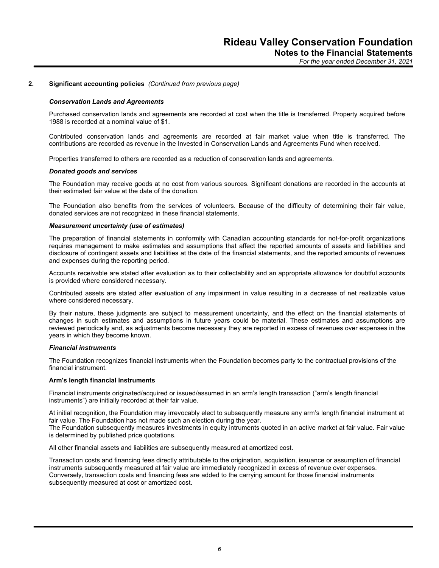## **2. Significant accounting policies** *(Continued from previous page)*

#### *Conservation Lands and Agreements*

Purchased conservation lands and agreements are recorded at cost when the title is transferred. Property acquired before 1988 is recorded at a nominal value of \$1.

Contributed conservation lands and agreements are recorded at fair market value when title is transferred. The contributions are recorded as revenue in the Invested in Conservation Lands and Agreements Fund when received.

Properties transferred to others are recorded as a reduction of conservation lands and agreements.

#### *Donated goods and services*

The Foundation may receive goods at no cost from various sources. Significant donations are recorded in the accounts at their estimated fair value at the date of the donation.

The Foundation also benefits from the services of volunteers. Because of the difficulty of determining their fair value, donated services are not recognized in these financial statements.

#### *Measurement uncertainty (use of estimates)*

The preparation of financial statements in conformity with Canadian accounting standards for not-for-profit organizations requires management to make estimates and assumptions that affect the reported amounts of assets and liabilities and disclosure of contingent assets and liabilities at the date of the financial statements, and the reported amounts of revenues and expenses during the reporting period.

Accounts receivable are stated after evaluation as to their collectability and an appropriate allowance for doubtful accounts is provided where considered necessary.

Contributed assets are stated after evaluation of any impairment in value resulting in a decrease of net realizable value where considered necessary.

By their nature, these judgments are subject to measurement uncertainty, and the effect on the financial statements of changes in such estimates and assumptions in future years could be material. These estimates and assumptions are reviewed periodically and, as adjustments become necessary they are reported in excess of revenues over expenses in the years in which they become known.

#### *Financial instruments*

The Foundation recognizes financial instruments when the Foundation becomes party to the contractual provisions of the financial instrument.

#### **Arm's length financial instruments**

Financial instruments originated/acquired or issued/assumed in an arm's length transaction ("arm's length financial instruments") are initially recorded at their fair value.

At initial recognition, the Foundation may irrevocably elect to subsequently measure any arm's length financial instrument at fair value. The Foundation has not made such an election during the year.

The Foundation subsequently measures investments in equity intruments quoted in an active market at fair value. Fair value is determined by published price quotations.

All other financial assets and liabilities are subsequently measured at amortized cost.

Transaction costs and financing fees directly attributable to the origination, acquisition, issuance or assumption of financial instruments subsequently measured at fair value are immediately recognized in excess of revenue over expenses. Conversely, transaction costs and financing fees are added to the carrying amount for those financial instruments subsequently measured at cost or amortized cost.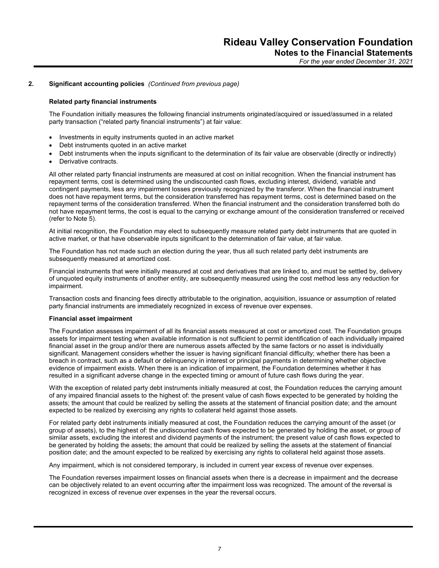# **2. Significant accounting policies** *(Continued from previous page)*

## **Related party financial instruments**

The Foundation initially measures the following financial instruments originated/acquired or issued/assumed in a related party transaction ("related party financial instruments") at fair value:

- Investments in equity instruments quoted in an active market
- Debt instruments quoted in an active market
- Debt instruments when the inputs significant to the determination of its fair value are observable (directly or indirectly)
- Derivative contracts.

All other related party financial instruments are measured at cost on initial recognition. When the financial instrument has repayment terms, cost is determined using the undiscounted cash flows, excluding interest, dividend, variable and contingent payments, less any impairment losses previously recognized by the transferor. When the financial instrument does not have repayment terms, but the consideration transferred has repayment terms, cost is determined based on the repayment terms of the consideration transferred. When the financial instrument and the consideration transferred both do not have repayment terms, the cost is equal to the carrying or exchange amount of the consideration transferred or received (refer to Note 5).

At initial recognition, the Foundation may elect to subsequently measure related party debt instruments that are quoted in active market, or that have observable inputs significant to the determination of fair value, at fair value.

The Foundation has not made such an election during the year, thus all such related party debt instruments are subsequently measured at amortized cost.

Financial instruments that were initially measured at cost and derivatives that are linked to, and must be settled by, delivery of unquoted equity instruments of another entity, are subsequently measured using the cost method less any reduction for impairment.

Transaction costs and financing fees directly attributable to the origination, acquisition, issuance or assumption of related party financial instruments are immediately recognized in excess of revenue over expenses.

#### **Financial asset impairment**

The Foundation assesses impairment of all its financial assets measured at cost or amortized cost. The Foundation groups assets for impairment testing when available information is not sufficient to permit identification of each individually impaired financial asset in the group and/or there are numerous assets affected by the same factors or no asset is individually significant. Management considers whether the issuer is having significant financial difficulty; whether there has been a breach in contract, such as a default or delinquency in interest or principal payments in determining whether objective evidence of impairment exists. When there is an indication of impairment, the Foundation determines whether it has resulted in a significant adverse change in the expected timing or amount of future cash flows during the year.

With the exception of related party debt instruments initially measured at cost, the Foundation reduces the carrying amount of any impaired financial assets to the highest of: the present value of cash flows expected to be generated by holding the assets; the amount that could be realized by selling the assets at the statement of financial position date; and the amount expected to be realized by exercising any rights to collateral held against those assets.

For related party debt instruments initially measured at cost, the Foundation reduces the carrying amount of the asset (or group of assets), to the highest of: the undiscounted cash flows expected to be generated by holding the asset, or group of similar assets, excluding the interest and dividend payments of the instrument; the present value of cash flows expected to be generated by holding the assets; the amount that could be realized by selling the assets at the statement of financial position date; and the amount expected to be realized by exercising any rights to collateral held against those assets.

Any impairment, which is not considered temporary, is included in current year excess of revenue over expenses.

The Foundation reverses impairment losses on financial assets when there is a decrease in impairment and the decrease can be objectively related to an event occurring after the impairment loss was recognized. The amount of the reversal is recognized in excess of revenue over expenses in the year the reversal occurs.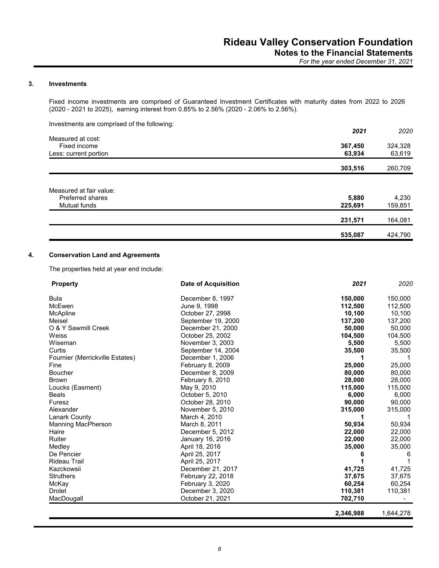# **3. Investments**

Fixed income investments are comprised of Guaranteed Investment Certificates with maturity dates from 2022 to 2026 (2020 - 2021 to 2025), earning interest from 0.85% to 2.56% (2020 - 2.06% to 2.56%).

| Investments are comprised of the following: |         |         |
|---------------------------------------------|---------|---------|
|                                             | 2021    | 2020    |
| Measured at cost:                           |         |         |
| Fixed income                                | 367,450 | 324,328 |
| Less: current portion                       | 63,934  | 63,619  |
|                                             | 303,516 | 260,709 |
|                                             |         |         |
| Measured at fair value:                     |         |         |
| Preferred shares                            | 5,880   | 4,230   |
| Mutual funds                                | 225,691 | 159,851 |
|                                             | 231,571 | 164,081 |
|                                             | 535,087 | 424,790 |

# **4. Conservation Land and Agreements**

The properties held at year end include:

| <b>Property</b>                 | Date of Acquisition | 2021      | 2020      |
|---------------------------------|---------------------|-----------|-----------|
| <b>Bula</b>                     | December 8, 1997    | 150,000   | 150,000   |
| McEwen                          | June 9, 1998        | 112,500   | 112,500   |
| McApline                        | October 27, 2998    | 10,100    | 10,100    |
| Meisel                          | September 19, 2000  | 137,200   | 137,200   |
| O & Y Sawmill Creek             | December 21, 2000   | 50,000    | 50,000    |
| Weiss                           | October 25, 2002    | 104,500   | 104,500   |
| Wiseman                         | November 3, 2003    | 5,500     | 5,500     |
| Curtis                          | September 14, 2004  | 35,500    | 35,500    |
| Fournier (Merrickville Estates) | December 1, 2006    |           |           |
| Fine                            | February 8, 2009    | 25,000    | 25,000    |
| <b>Boucher</b>                  | December 8, 2009    | 80,000    | 80,000    |
| <b>Brown</b>                    | February 8, 2010    | 28,000    | 28,000    |
| Loucks (Easment)                | May 9, 2010         | 115,000   | 115,000   |
| <b>Beals</b>                    | October 5, 2010     | 6,000     | 6,000     |
| Furesz                          | October 28, 2010    | 90,000    | 90,000    |
| Alexander                       | November 5, 2010    | 315,000   | 315,000   |
| <b>Lanark County</b>            | March 4, 2010       |           |           |
| Manning MacPherson              | March 8, 2011       | 50,934    | 50,934    |
| Haire                           | December 5, 2012    | 22,000    | 22,000    |
| Ruiter                          | January 16, 2016    | 22,000    | 22,000    |
| Medley                          | April 18, 2016      | 35,000    | 35,000    |
| De Pencier                      | April 25, 2017      | 6         | 6         |
| <b>Rideau Trail</b>             | April 25, 2017      |           |           |
| Kazckowsii                      | December 21, 2017   | 41,725    | 41,725    |
| <b>Struthers</b>                | February 22, 2018   | 37,675    | 37,675    |
| McKay                           | February 3, 2020    | 60,254    | 60,254    |
| <b>Drolet</b>                   | December 3, 2020    | 110,381   | 110,381   |
| MacDougall                      | October 21, 2021    | 702,710   |           |
|                                 |                     | 2,346,988 | 1,644,278 |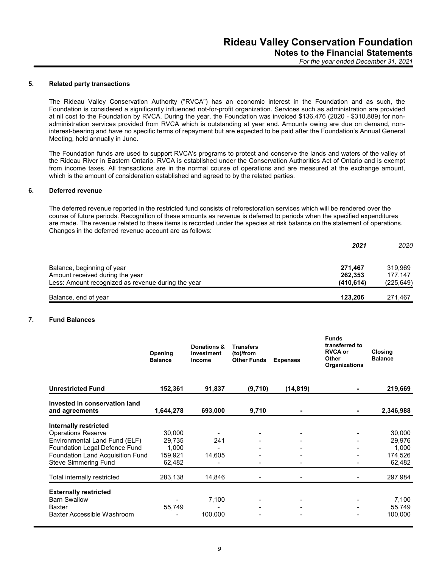# **5. Related party transactions**

The Rideau Valley Conservation Authority ("RVCA") has an economic interest in the Foundation and as such, the Foundation is considered a significantly influenced not-for-profit organization. Services such as administration are provided at nil cost to the Foundation by RVCA. During the year, the Foundation was invoiced \$136,476 (2020 - \$310,889) for nonadministration services provided from RVCA which is outstanding at year end. Amounts owing are due on demand, noninterest-bearing and have no specific terms of repayment but are expected to be paid after the Foundation's Annual General Meeting, held annually in June.

The Foundation funds are used to support RVCA's programs to protect and conserve the lands and waters of the valley of the Rideau River in Eastern Ontario. RVCA is established under the Conservation Authorities Act of Ontario and is exempt from income taxes. All transactions are in the normal course of operations and are measured at the exchange amount, which is the amount of consideration established and agreed to by the related parties.

## **6. Deferred revenue**

The deferred revenue reported in the restricted fund consists of reforestoration services which will be rendered over the course of future periods. Recognition of these amounts as revenue is deferred to periods when the specified expenditures are made. The revenue related to these items is recorded under the species at risk balance on the statement of operations. Changes in the deferred revenue account are as follows:

|                                                    | 2021       | 2020       |
|----------------------------------------------------|------------|------------|
| Balance, beginning of year                         | 271.467    | 319.969    |
| Amount received during the year                    | 262,353    | 177.147    |
| Less: Amount recognized as revenue during the year | (410, 614) | (225, 649) |
| Balance, end of year                               | 123.206    | 271.467    |

# **7. Fund Balances**

|                                                                                                    | Opening<br><b>Balance</b> | Donations &<br>Investment<br>Income | <b>Transfers</b><br>(to)/from<br><b>Other Funds</b> | <b>Expenses</b> | <b>Funds</b><br>transferred to<br><b>RVCA or</b><br>Other<br><b>Organizations</b> | <b>Closing</b><br><b>Balance</b> |
|----------------------------------------------------------------------------------------------------|---------------------------|-------------------------------------|-----------------------------------------------------|-----------------|-----------------------------------------------------------------------------------|----------------------------------|
| <b>Unrestricted Fund</b>                                                                           | 152,361                   | 91,837                              | (9,710)                                             | (14, 819)       |                                                                                   | 219,669                          |
| Invested in conservation land<br>and agreements                                                    | 1,644,278                 | 693,000                             | 9,710                                               |                 | ۰                                                                                 | 2,346,988                        |
| Internally restricted                                                                              |                           |                                     |                                                     |                 |                                                                                   |                                  |
| <b>Operations Reserve</b>                                                                          | 30,000                    |                                     |                                                     |                 |                                                                                   | 30,000                           |
| Environmental Land Fund (ELF)                                                                      | 29,735                    | 241                                 |                                                     |                 |                                                                                   | 29,976                           |
| Foundation Legal Defence Fund                                                                      | 1,000                     |                                     |                                                     |                 |                                                                                   | 1,000                            |
| Foundation Land Acquisition Fund                                                                   | 159,921                   | 14,605                              |                                                     |                 |                                                                                   | 174,526                          |
| <b>Steve Simmering Fund</b>                                                                        | 62,482                    |                                     |                                                     |                 |                                                                                   | 62,482                           |
| Total internally restricted                                                                        | 283,138                   | 14,846                              |                                                     |                 |                                                                                   | 297,984                          |
| <b>Externally restricted</b><br><b>Barn Swallow</b><br><b>Baxter</b><br>Baxter Accessible Washroom | 55,749                    | 7,100<br>100,000                    | $\qquad \qquad \blacksquare$                        |                 |                                                                                   | 7,100<br>55,749<br>100,000       |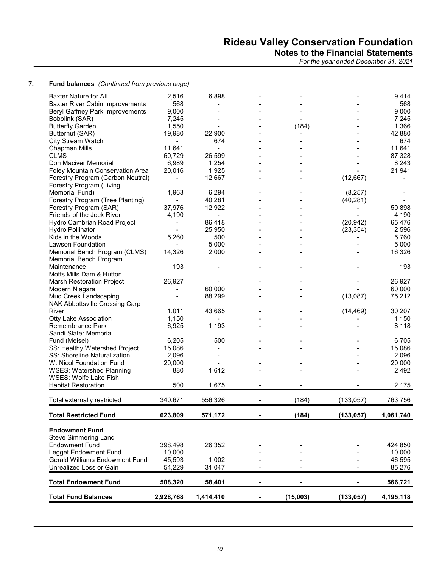# **Notes to the Financial Statements**

*For the year ended December 31, 2021*

| <b>Total Endowment Fund</b>                                                   | 508,320         | 58,401          |       |            | 566,721         |
|-------------------------------------------------------------------------------|-----------------|-----------------|-------|------------|-----------------|
| Unrealized Loss or Gain                                                       | 54,229          | 31,047          |       |            | 85,276          |
| Gerald Williams Endowment Fund                                                | 45,593          | 1,002           |       |            | 46,595          |
| Legget Endowment Fund                                                         | 10,000          |                 |       |            | 10,000          |
| <b>Endowment Fund</b><br><b>Steve Simmering Land</b><br><b>Endowment Fund</b> | 398,498         | 26,352          |       |            | 424,850         |
| <b>Total Restricted Fund</b>                                                  | 623,809         | 571,172         | (184) | (133, 057) | 1,061,740       |
|                                                                               |                 |                 |       |            |                 |
| Total externally restricted                                                   | 340,671         | 556,326         | (184) | (133, 057) | 763,756         |
| <b>Habitat Restoration</b>                                                    | 500             | 1,675           |       |            | 2,175           |
| <b>WSES: Wolfe Lake Fish</b>                                                  |                 |                 |       |            |                 |
| <b>WSES: Watershed Planning</b>                                               | 880             | 1,612           |       |            | 2,492           |
| W. Nicol Foundation Fund                                                      | 20,000          |                 |       |            | 20,000          |
| SS: Shoreline Naturalization                                                  | 2,096           |                 |       |            | 2,096           |
| SS: Healthy Watershed Project                                                 | 15,086          |                 |       |            | 15,086          |
| Fund (Meisel)                                                                 | 6,205           | 500             |       |            | 6,705           |
| Sandi Slater Memorial                                                         |                 |                 |       |            |                 |
| Remembrance Park                                                              | 6,925           | 1,193           |       |            | 8,118           |
| <b>Otty Lake Association</b>                                                  | 1,150           |                 |       |            | 1,150           |
| <b>River</b>                                                                  | 1,011           | 43,665          |       | (14, 469)  | 30,207          |
| NAK Abbottsville Crossing Carp                                                |                 |                 |       |            |                 |
| Mud Creek Landscaping                                                         |                 | 88,299          |       | (13,087)   | 75,212          |
| Modern Niagara                                                                |                 | 60,000          |       |            | 60,000          |
| <b>Marsh Restoration Project</b>                                              | 26,927          |                 |       |            | 26,927          |
| Motts Mills Dam & Hutton                                                      |                 |                 |       |            |                 |
| Maintenance                                                                   | 193             |                 |       |            | 193             |
| Memorial Bench Program                                                        |                 |                 |       |            |                 |
| Memorial Bench Program (CLMS)                                                 | 14,326          | 2,000           |       |            | 16,326          |
| Lawson Foundation                                                             |                 | 5,000           |       |            | 5,000           |
| Kids in the Woods                                                             | 5,260           | 500             |       |            | 5,760           |
| <b>Hydro Pollinator</b>                                                       |                 | 25,950          |       | (23, 354)  | 2,596           |
| Hydro Cambrian Road Project                                                   |                 | 86,418          |       | (20, 942)  | 65,476          |
| Friends of the Jock River                                                     | 4,190           |                 |       |            | 4,190           |
| Forestry Program (SAR)                                                        | 37,976          | 12,922          |       |            | 50,898          |
| Forestry Program (Tree Planting)                                              |                 | 40,281          |       | (40, 281)  |                 |
| Memorial Fund)                                                                | 1,963           | 6,294           |       | (8,257)    |                 |
| Forestry Program (Living                                                      |                 |                 |       |            |                 |
| Forestry Program (Carbon Neutral)                                             |                 | 12,667          |       | (12, 667)  | 21,941          |
| Foley Mountain Conservation Area                                              | 20,016          | 1,925           |       |            |                 |
| <b>CLMS</b><br>Don Maciver Memorial                                           | 60,729<br>6,989 | 26,599<br>1,254 |       |            | 87,328<br>8,243 |
| <b>Chapman Mills</b>                                                          | 11,641          |                 |       |            | 11,641          |
| City Stream Watch                                                             |                 | 674             |       |            | 674             |
| Butternut (SAR)                                                               | 19,980          | 22,900          |       |            | 42,880          |
| <b>Butterfly Garden</b>                                                       | 1,550           |                 | (184) |            | 1,366           |
| Bobolink (SAR)                                                                | 7,245           |                 |       |            | 7,245           |
| <b>Beryl Gaffney Park Improvements</b>                                        | 9,000           |                 |       |            | 9,000           |
| <b>Baxter River Cabin Improvements</b>                                        | 568             |                 |       |            | 568             |
| <b>Baxter Nature for All</b>                                                  | 2,516           | 6,898           |       |            | 9,414           |
|                                                                               |                 |                 |       |            |                 |

**7. Fund balances** *(Continued from previous page)*

**Total Fund Balances 2,928,768 1,414,410 - (15,003) (133,057) 4,195,118**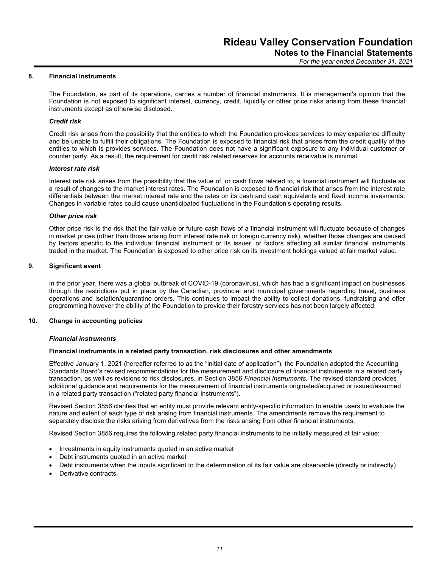#### **8. Financial instruments**

The Foundation, as part of its operations, carries a number of financial instruments. It is management's opinion that the Foundation is not exposed to significant interest, currency, credit, liquidity or other price risks arising from these financial instruments except as otherwise disclosed.

## *Credit risk*

Credit risk arises from the possibility that the entities to which the Foundation provides services to may experience difficulty and be unable to fulfill their obligations. The Foundation is exposed to financial risk that arises from the credit quality of the entities to which is provides services. The Foundation does not have a significant exposure to any individual customer or counter party. As a result, the requirement for credit risk related reserves for accounts receivable is minimal.

#### *Interest rate risk*

Interest rate risk arises from the possibility that the value of, or cash flows related to, a financial instrument will fluctuate as a result of changes to the market interest rates. The Foundation is exposed to financial risk that arises from the interest rate differentials between the market interest rate and the rates on its cash and cash equivalents and fixed income invesments. Changes in variable rates could cause unanticipated fluctuations in the Foundation's operating results.

#### *Other price risk*

Other price risk is the risk that the fair value or future cash flows of a financial instrument will fluctuate because of changes in market prices (other than those arising from interest rate risk or foreign currency risk), whether those changes are caused by factors specific to the individual financial instrument or its issuer, or factors affecting all similar financial instruments traded in the market. The Foundation is exposed to other price risk on its investment holdings valued at fair market value.

## **9. Significant event**

In the prior year, there was a global outbreak of COVID-19 (coronavirus), which has had a significant impact on businesses through the restrictions put in place by the Canadian, provincial and municipal governments regarding travel, business operations and isolation/quarantine orders. This continues to impact the ability to collect donations, fundraising and offer programming however the ability of the Foundation to provide their forestry services has not been largely affected.

# **10. Change in accounting policies**

# *Financial instruments*

# **Financial instruments in a related party transaction, risk disclosures and other amendments**

Effective January 1, 2021 (hereafter referred to as the "initial date of application"), the Foundation adopted the Accounting Standards Board's revised recommendations for the measurement and disclosure of financial instruments in a related party transaction, as well as revisions to risk disclosures, in Section 3856 *Financial Instruments.* The revised standard provides additional guidance and requirements for the measurement of financial instruments originated/acquired or issued/assumed in a related party transaction ("related party financial instruments").

Revised Section 3856 clarifies that an entity must provide relevant entity-specific information to enable users to evaluate the nature and extent of each type of risk arising from financial instruments. The amendments remove the requirement to separately disclose the risks arising from derivatives from the risks arising from other financial instruments.

Revised Section 3856 requires the following related party financial instruments to be initially measured at fair value:

- Investments in equity instruments quoted in an active market
- Debt instruments quoted in an active market
- Debt instruments when the inputs significant to the determination of its fair value are observable (directly or indirectly)
- Derivative contracts.